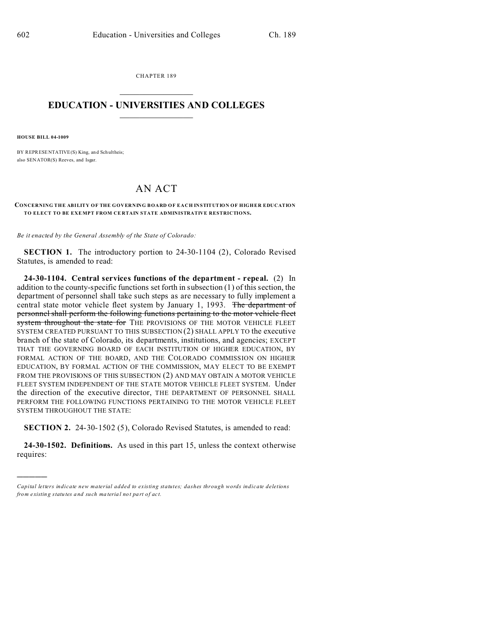CHAPTER 189  $\overline{\phantom{a}}$  , where  $\overline{\phantom{a}}$ 

## **EDUCATION - UNIVERSITIES AND COLLEGES**  $\frac{1}{2}$  ,  $\frac{1}{2}$  ,  $\frac{1}{2}$  ,  $\frac{1}{2}$  ,  $\frac{1}{2}$  ,  $\frac{1}{2}$  ,  $\frac{1}{2}$

**HOUSE BILL 04-1009**

)))))

BY REPRESENTATIVE(S) King, and Sch ultheis; also SENATOR(S) Reeves, and Isgar.

## AN ACT

## **CONCERNING THE ABILITY OF THE GOVERNING BOARD OF EACH INSTITUTION OF HIGHER EDUCATION TO ELECT TO BE EXE MPT FROM CE RTAIN STATE ADMINISTRATIVE RESTRICTIONS.**

*Be it enacted by the General Assembly of the State of Colorado:*

**SECTION 1.** The introductory portion to 24-30-1104 (2), Colorado Revised Statutes, is amended to read:

**24-30-1104. Central services functions of the department - repeal.** (2) In addition to the county-specific functions set forth in subsection (1) of this section, the department of personnel shall take such steps as are necessary to fully implement a central state motor vehicle fleet system by January 1, 1993. The department of personnel shall perform the following functions pertaining to the motor vehicle fleet system throughout the state for THE PROVISIONS OF THE MOTOR VEHICLE FLEET SYSTEM CREATED PURSUANT TO THIS SUBSECTION (2) SHALL APPLY TO the executive branch of the state of Colorado, its departments, institutions, and agencies; EXCEPT THAT THE GOVERNING BOARD OF EACH INSTITUTION OF HIGHER EDUCATION, BY FORMAL ACTION OF THE BOARD, AND THE COLORADO COMMISSION ON HIGHER EDUCATION, BY FORMAL ACTION OF THE COMMISSION, MAY ELECT TO BE EXEMPT FROM THE PROVISIONS OF THIS SUBSECTION (2) AND MAY OBTAIN A MOTOR VEHICLE FLEET SYSTEM INDEPENDENT OF THE STATE MOTOR VEHICLE FLEET SYSTEM. Under the direction of the executive director, THE DEPARTMENT OF PERSONNEL SHALL PERFORM THE FOLLOWING FUNCTIONS PERTAINING TO THE MOTOR VEHICLE FLEET SYSTEM THROUGHOUT THE STATE:

**SECTION 2.** 24-30-1502 (5), Colorado Revised Statutes, is amended to read:

**24-30-1502. Definitions.** As used in this part 15, unless the context otherwise requires:

*Capital letters indicate new material added to existing statutes; dashes through words indicate deletions from e xistin g statu tes a nd such ma teria l no t pa rt of ac t.*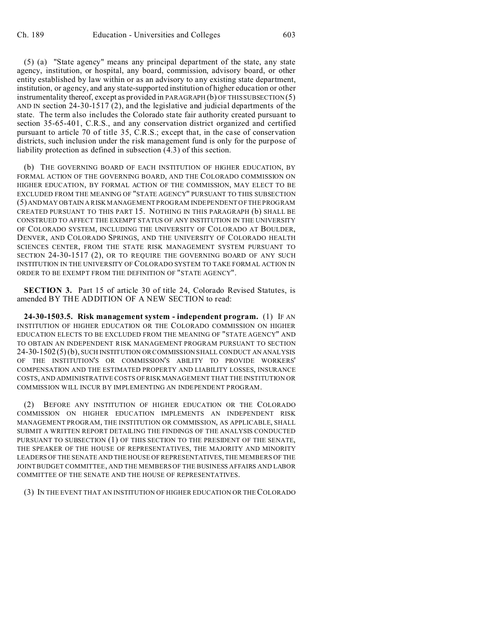(5) (a) "State agency" means any principal department of the state, any state agency, institution, or hospital, any board, commission, advisory board, or other entity established by law within or as an advisory to any existing state department, institution, or agency, and any state-supported institution of higher education or other instrumentality thereof, except as provided in PARAGRAPH (b) OF THIS SUBSECTION (5) AND IN section 24-30-1517 (2), and the legislative and judicial departments of the state. The term also includes the Colorado state fair authority created pursuant to section 35-65-401, C.R.S., and any conservation district organized and certified pursuant to article 70 of title 35, C.R.S.; except that, in the case of conservation districts, such inclusion under the risk management fund is only for the purpose of liability protection as defined in subsection (4.3) of this section.

(b) THE GOVERNING BOARD OF EACH INSTITUTION OF HIGHER EDUCATION, BY FORMAL ACTION OF THE GOVERNING BOARD, AND THE COLORADO COMMISSION ON HIGHER EDUCATION, BY FORMAL ACTION OF THE COMMISSION, MAY ELECT TO BE EXCLUDED FROM THE MEANING OF "STATE AGENCY" PURSUANT TO THIS SUBSECTION (5) ANDMAY OBTAIN A RISK MANAGEMENT PROGRAM INDEPENDENT OF THE PROGRAM CREATED PURSUANT TO THIS PART 15. NOTHING IN THIS PARAGRAPH (b) SHALL BE CONSTRUED TO AFFECT THE EXEMPT STATUS OF ANY INSTITUTION IN THE UNIVERSITY OF COLORADO SYSTEM, INCLUDING THE UNIVERSITY OF COLORADO AT BOULDER, DENVER, AND COLORADO SPRINGS, AND THE UNIVERSITY OF COLORADO HEALTH SCIENCES CENTER, FROM THE STATE RISK MANAGEMENT SYSTEM PURSUANT TO SECTION 24-30-1517 (2), OR TO REQUIRE THE GOVERNING BOARD OF ANY SUCH INSTITUTION IN THE UNIVERSITY OF COLORADO SYSTEM TO TAKE FORMAL ACTION IN ORDER TO BE EXEMPT FROM THE DEFINITION OF "STATE AGENCY".

**SECTION 3.** Part 15 of article 30 of title 24, Colorado Revised Statutes, is amended BY THE ADDITION OF A NEW SECTION to read:

**24-30-1503.5. Risk management system - independent program.** (1) IF AN INSTITUTION OF HIGHER EDUCATION OR THE COLORADO COMMISSION ON HIGHER EDUCATION ELECTS TO BE EXCLUDED FROM THE MEANING OF "STATE AGENCY" AND TO OBTAIN AN INDEPENDENT RISK MANAGEMENT PROGRAM PURSUANT TO SECTION 24-30-1502(5)(b), SUCH INSTITUTION OR COMMISSION SHALL CONDUCT AN ANALYSIS OF THE INSTITUTION'S OR COMMISSION'S ABILITY TO PROVIDE WORKERS' COMPENSATION AND THE ESTIMATED PROPERTY AND LIABILITY LOSSES, INSURANCE COSTS, AND ADMINISTRATIVE COSTS OF RISK MANAGEMENT THAT THE INSTITUTION OR COMMISSION WILL INCUR BY IMPLEMENTING AN INDEPENDENT PROGRAM.

(2) BEFORE ANY INSTITUTION OF HIGHER EDUCATION OR THE COLORADO COMMISSION ON HIGHER EDUCATION IMPLEMENTS AN INDEPENDENT RISK MANAGEMENT PROGRAM, THE INSTITUTION OR COMMISSION, AS APPLICABLE, SHALL SUBMIT A WRITTEN REPORT DETAILING THE FINDINGS OF THE ANALYSIS CONDUCTED PURSUANT TO SUBSECTION (1) OF THIS SECTION TO THE PRESIDENT OF THE SENATE, THE SPEAKER OF THE HOUSE OF REPRESENTATIVES, THE MAJORITY AND MINORITY LEADERS OF THE SENATE AND THE HOUSE OF REPRESENTATIVES, THE MEMBERS OF THE JOINT BUDGET COMMITTEE, AND THE MEMBERS OF THE BUSINESS AFFAIRS AND LABOR COMMITTEE OF THE SENATE AND THE HOUSE OF REPRESENTATIVES.

## (3) IN THE EVENT THAT AN INSTITUTION OF HIGHER EDUCATION OR THE COLORADO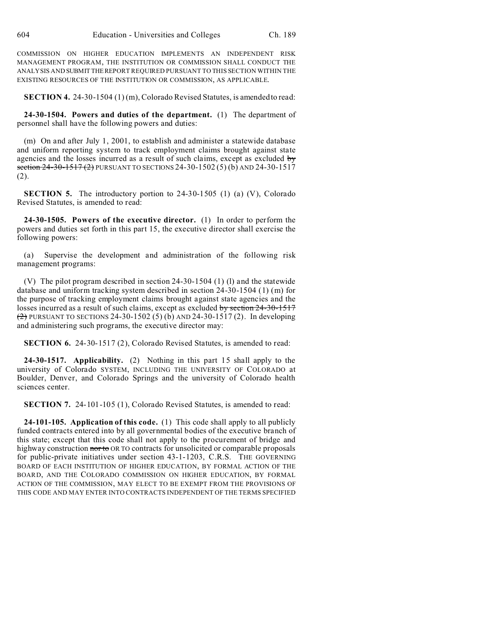COMMISSION ON HIGHER EDUCATION IMPLEMENTS AN INDEPENDENT RISK MANAGEMENT PROGRAM, THE INSTITUTION OR COMMISSION SHALL CONDUCT THE ANALYSIS AND SUBMITTHEREPORT REQUIRED PURSUANT TO THIS SECTION WITHIN THE EXISTING RESOURCES OF THE INSTITUTION OR COMMISSION, AS APPLICABLE.

**SECTION 4.** 24-30-1504 (1) (m), Colorado Revised Statutes, is amended to read:

**24-30-1504. Powers and duties of the department.** (1) The department of personnel shall have the following powers and duties:

(m) On and after July 1, 2001, to establish and administer a statewide database and uniform reporting system to track employment claims brought against state agencies and the losses incurred as a result of such claims, except as excluded by section  $24-30-1517$  (2) PURSUANT TO SECTIONS 24-30-1502 (5) (b) AND 24-30-1517 (2).

**SECTION 5.** The introductory portion to 24-30-1505 (1) (a) (V), Colorado Revised Statutes, is amended to read:

**24-30-1505. Powers of the executive director.** (1) In order to perform the powers and duties set forth in this part 15, the executive director shall exercise the following powers:

(a) Supervise the development and administration of the following risk management programs:

(V) The pilot program described in section 24-30-1504 (1) (l) and the statewide database and uniform tracking system described in section 24-30-1504 (1) (m) for the purpose of tracking employment claims brought against state agencies and the losses incurred as a result of such claims, except as excluded by section 24-30-1517 (2) PURSUANT TO SECTIONS 24-30-1502 (5) (b) AND 24-30-1517 (2). In developing and administering such programs, the executive director may:

**SECTION 6.** 24-30-1517 (2), Colorado Revised Statutes, is amended to read:

**24-30-1517. Applicability.** (2) Nothing in this part 15 shall apply to the university of Colorado SYSTEM, INCLUDING THE UNIVERSITY OF COLORADO at Boulder, Denver, and Colorado Springs and the university of Colorado health sciences center.

**SECTION 7.** 24-101-105 (1), Colorado Revised Statutes, is amended to read:

**24-101-105. Application of this code.** (1) This code shall apply to all publicly funded contracts entered into by all governmental bodies of the executive branch of this state; except that this code shall not apply to the procurement of bridge and highway construction nor to OR TO contracts for unsolicited or comparable proposals for public-private initiatives under section 43-1-1203, C.R.S. THE GOVERNING BOARD OF EACH INSTITUTION OF HIGHER EDUCATION, BY FORMAL ACTION OF THE BOARD, AND THE COLORADO COMMISSION ON HIGHER EDUCATION, BY FORMAL ACTION OF THE COMMISSION, MAY ELECT TO BE EXEMPT FROM THE PROVISIONS OF THIS CODE AND MAY ENTER INTO CONTRACTS INDEPENDENT OF THE TERMS SPECIFIED